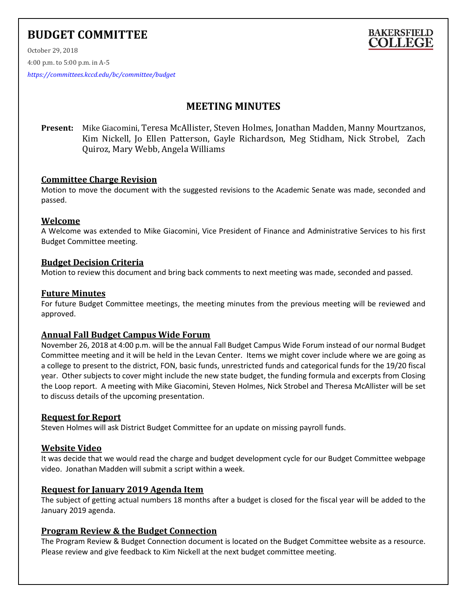# **BUDGET COMMITTEE**



October 29, 2018 4:00 p.m. to 5:00 p.m. in A-5

*<https://committees.kccd.edu/bc/committee/budget>*

## **MEETING MINUTES**

**Present:** Mike Giacomini, Teresa McAllister, Steven Holmes, Jonathan Madden, Manny Mourtzanos, Kim Nickell, Jo Ellen Patterson, Gayle Richardson, Meg Stidham, Nick Strobel, Zach Quiroz, Mary Webb, Angela Williams

## **Committee Charge Revision**

Motion to move the document with the suggested revisions to the Academic Senate was made, seconded and passed.

#### **Welcome**

A Welcome was extended to Mike Giacomini, Vice President of Finance and Administrative Services to his first Budget Committee meeting.

#### **Budget Decision Criteria**

Motion to review this document and bring back comments to next meeting was made, seconded and passed.

#### **Future Minutes**

For future Budget Committee meetings, the meeting minutes from the previous meeting will be reviewed and approved.

## **Annual Fall Budget Campus Wide Forum**

November 26, 2018 at 4:00 p.m. will be the annual Fall Budget Campus Wide Forum instead of our normal Budget Committee meeting and it will be held in the Levan Center. Items we might cover include where we are going as a college to present to the district, FON, basic funds, unrestricted funds and categorical funds for the 19/20 fiscal year. Other subjects to cover might include the new state budget, the funding formula and excerpts from Closing the Loop report. A meeting with Mike Giacomini, Steven Holmes, Nick Strobel and Theresa McAllister will be set to discuss details of the upcoming presentation.

#### **Request for Report**

Steven Holmes will ask District Budget Committee for an update on missing payroll funds.

## **Website Video**

It was decide that we would read the charge and budget development cycle for our Budget Committee webpage video. Jonathan Madden will submit a script within a week.

## **Request for January 2019 Agenda Item**

The subject of getting actual numbers 18 months after a budget is closed for the fiscal year will be added to the January 2019 agenda.

## **Program Review & the Budget Connection**

The Program Review & Budget Connection document is located on the Budget Committee website as a resource. Please review and give feedback to Kim Nickell at the next budget committee meeting.